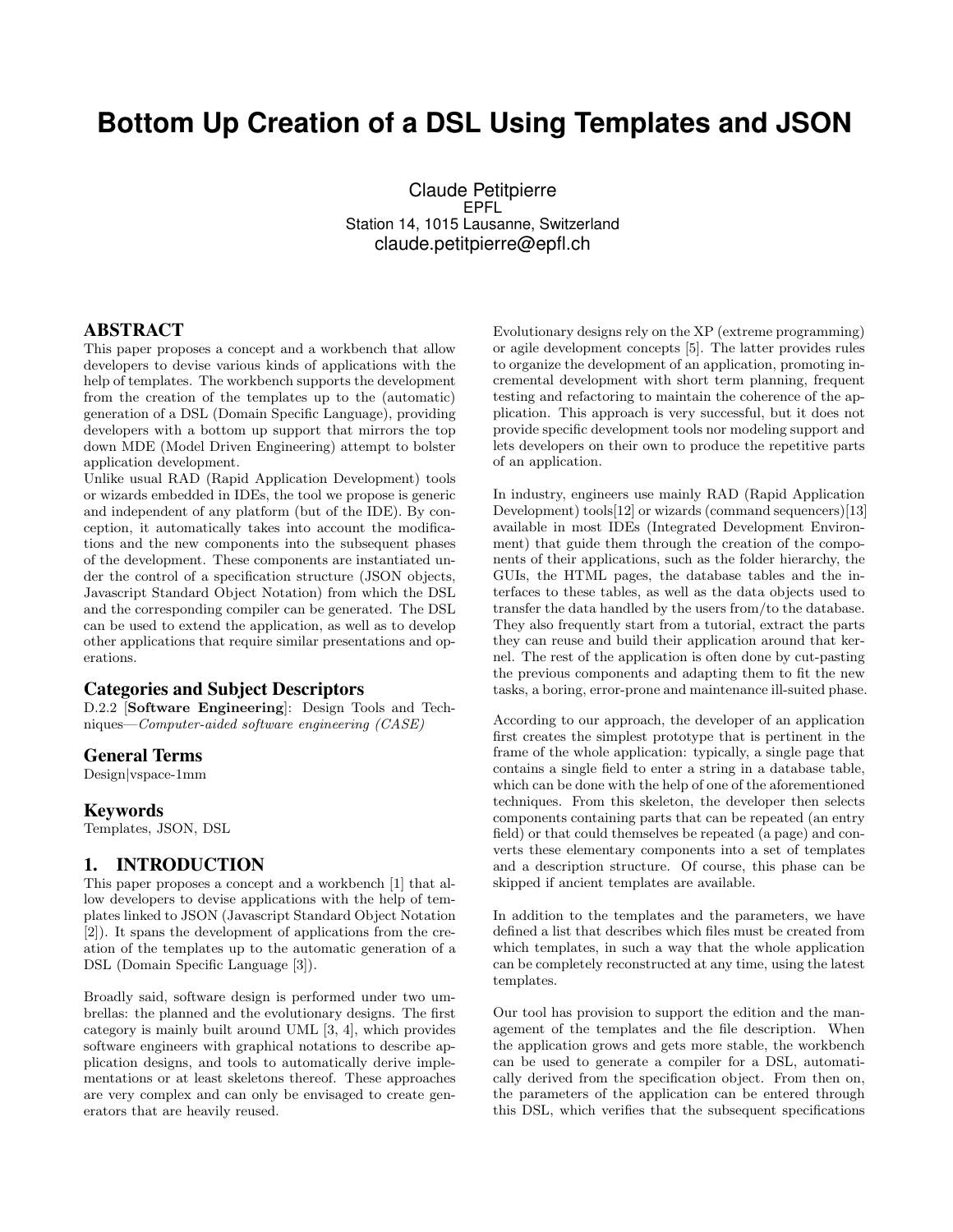# **Bottom Up Creation of a DSL Using Templates and JSON**

Claude Petitpierre EPFL Station 14, 1015 Lausanne, Switzerland claude.petitpierre@epfl.ch

#### ABSTRACT

This paper proposes a concept and a workbench that allow developers to devise various kinds of applications with the help of templates. The workbench supports the development from the creation of the templates up to the (automatic) generation of a DSL (Domain Specific Language), providing developers with a bottom up support that mirrors the top down MDE (Model Driven Engineering) attempt to bolster application development.

Unlike usual RAD (Rapid Application Development) tools or wizards embedded in IDEs, the tool we propose is generic and independent of any platform (but of the IDE). By conception, it automatically takes into account the modifications and the new components into the subsequent phases of the development. These components are instantiated under the control of a specification structure (JSON objects, Javascript Standard Object Notation) from which the DSL and the corresponding compiler can be generated. The DSL can be used to extend the application, as well as to develop other applications that require similar presentations and operations.

#### Categories and Subject Descriptors

D.2.2 [Software Engineering]: Design Tools and Techniques—Computer-aided software engineering (CASE)

#### General Terms

Design|vspace-1mm

#### Keywords

Templates, JSON, DSL

#### 1. INTRODUCTION

This paper proposes a concept and a workbench [1] that allow developers to devise applications with the help of templates linked to JSON (Javascript Standard Object Notation [2]). It spans the development of applications from the creation of the templates up to the automatic generation of a DSL (Domain Specific Language [3]).

Broadly said, software design is performed under two umbrellas: the planned and the evolutionary designs. The first category is mainly built around UML [3, 4], which provides software engineers with graphical notations to describe application designs, and tools to automatically derive implementations or at least skeletons thereof. These approaches are very complex and can only be envisaged to create generators that are heavily reused.

Evolutionary designs rely on the XP (extreme programming) or agile development concepts [5]. The latter provides rules to organize the development of an application, promoting incremental development with short term planning, frequent testing and refactoring to maintain the coherence of the application. This approach is very successful, but it does not provide specific development tools nor modeling support and lets developers on their own to produce the repetitive parts of an application.

In industry, engineers use mainly RAD (Rapid Application Development) tools[12] or wizards (command sequencers)[13] available in most IDEs (Integrated Development Environment) that guide them through the creation of the components of their applications, such as the folder hierarchy, the GUIs, the HTML pages, the database tables and the interfaces to these tables, as well as the data objects used to transfer the data handled by the users from/to the database. They also frequently start from a tutorial, extract the parts they can reuse and build their application around that kernel. The rest of the application is often done by cut-pasting the previous components and adapting them to fit the new tasks, a boring, error-prone and maintenance ill-suited phase.

According to our approach, the developer of an application first creates the simplest prototype that is pertinent in the frame of the whole application: typically, a single page that contains a single field to enter a string in a database table, which can be done with the help of one of the aforementioned techniques. From this skeleton, the developer then selects components containing parts that can be repeated (an entry field) or that could themselves be repeated (a page) and converts these elementary components into a set of templates and a description structure. Of course, this phase can be skipped if ancient templates are available.

In addition to the templates and the parameters, we have defined a list that describes which files must be created from which templates, in such a way that the whole application can be completely reconstructed at any time, using the latest templates.

Our tool has provision to support the edition and the management of the templates and the file description. When the application grows and gets more stable, the workbench can be used to generate a compiler for a DSL, automatically derived from the specification object. From then on, the parameters of the application can be entered through this DSL, which verifies that the subsequent specifications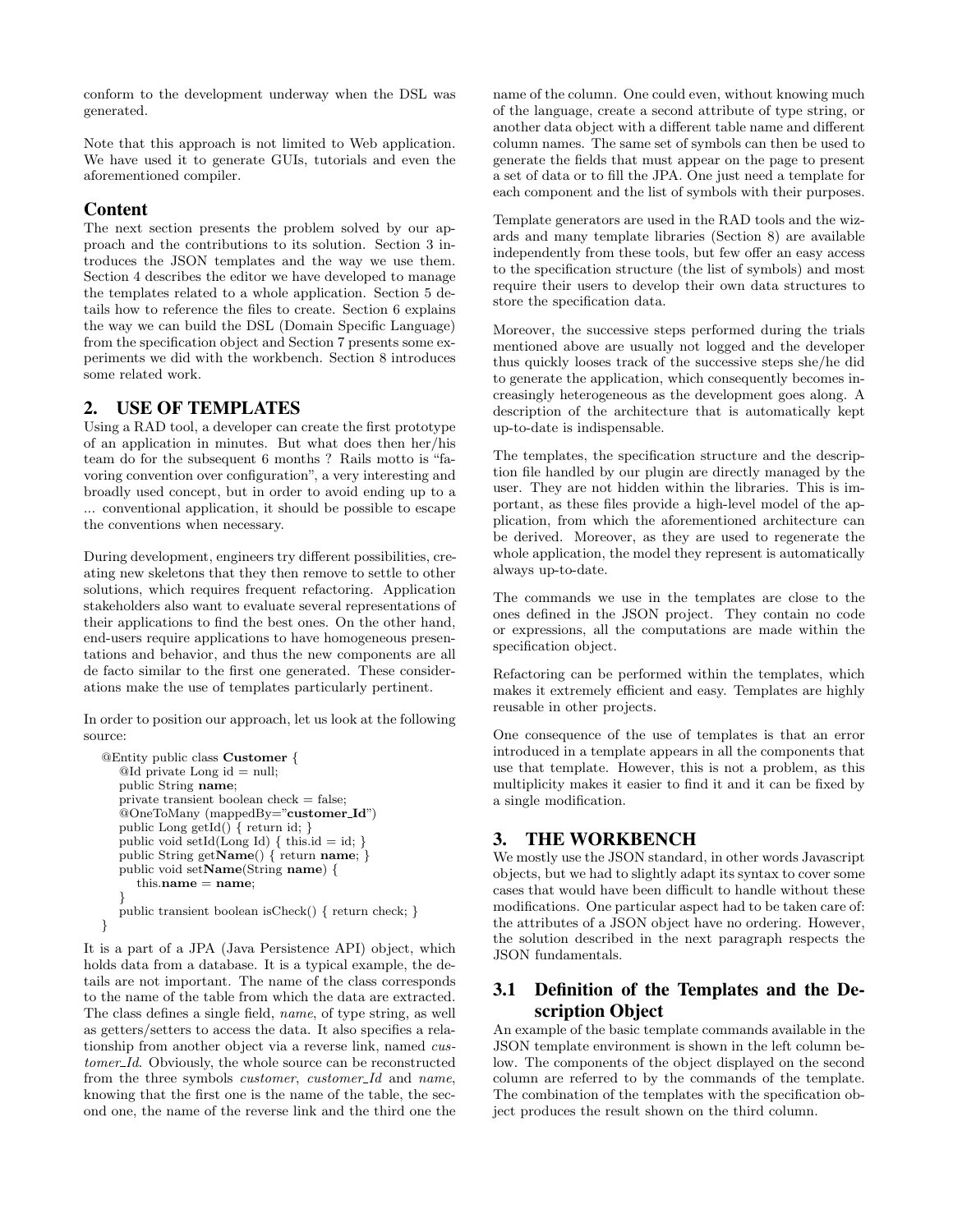conform to the development underway when the DSL was generated.

Note that this approach is not limited to Web application. We have used it to generate GUIs, tutorials and even the aforementioned compiler.

## **Content**

The next section presents the problem solved by our approach and the contributions to its solution. Section 3 introduces the JSON templates and the way we use them. Section 4 describes the editor we have developed to manage the templates related to a whole application. Section 5 details how to reference the files to create. Section 6 explains the way we can build the DSL (Domain Specific Language) from the specification object and Section 7 presents some experiments we did with the workbench. Section 8 introduces some related work.

## 2. USE OF TEMPLATES

Using a RAD tool, a developer can create the first prototype of an application in minutes. But what does then her/his team do for the subsequent 6 months ? Rails motto is "favoring convention over configuration", a very interesting and broadly used concept, but in order to avoid ending up to a ... conventional application, it should be possible to escape the conventions when necessary.

During development, engineers try different possibilities, creating new skeletons that they then remove to settle to other solutions, which requires frequent refactoring. Application stakeholders also want to evaluate several representations of their applications to find the best ones. On the other hand, end-users require applications to have homogeneous presentations and behavior, and thus the new components are all de facto similar to the first one generated. These considerations make the use of templates particularly pertinent.

In order to position our approach, let us look at the following source:

```
@Entity public class Customer {
  QId private Long id = null;public String name;
  private transient boolean check = false;
  @OneToMany (mappedBy="customer Id")
  public Long getId() { return id; }
  public void setId(Long Id) { this.id = id; }
  public String getName() { return name; }
  public void setName(String name) {
     this.name = name;}
  public transient boolean isCheck() { return check; }
}
```
It is a part of a JPA (Java Persistence API) object, which holds data from a database. It is a typical example, the details are not important. The name of the class corresponds to the name of the table from which the data are extracted. The class defines a single field, name, of type string, as well as getters/setters to access the data. It also specifies a relationship from another object via a reverse link, named customer\_Id. Obviously, the whole source can be reconstructed from the three symbols *customer*, *customer\_Id* and *name*, knowing that the first one is the name of the table, the second one, the name of the reverse link and the third one the name of the column. One could even, without knowing much of the language, create a second attribute of type string, or another data object with a different table name and different column names. The same set of symbols can then be used to generate the fields that must appear on the page to present a set of data or to fill the JPA. One just need a template for each component and the list of symbols with their purposes.

Template generators are used in the RAD tools and the wizards and many template libraries (Section 8) are available independently from these tools, but few offer an easy access to the specification structure (the list of symbols) and most require their users to develop their own data structures to store the specification data.

Moreover, the successive steps performed during the trials mentioned above are usually not logged and the developer thus quickly looses track of the successive steps she/he did to generate the application, which consequently becomes increasingly heterogeneous as the development goes along. A description of the architecture that is automatically kept up-to-date is indispensable.

The templates, the specification structure and the description file handled by our plugin are directly managed by the user. They are not hidden within the libraries. This is important, as these files provide a high-level model of the application, from which the aforementioned architecture can be derived. Moreover, as they are used to regenerate the whole application, the model they represent is automatically always up-to-date.

The commands we use in the templates are close to the ones defined in the JSON project. They contain no code or expressions, all the computations are made within the specification object.

Refactoring can be performed within the templates, which makes it extremely efficient and easy. Templates are highly reusable in other projects.

One consequence of the use of templates is that an error introduced in a template appears in all the components that use that template. However, this is not a problem, as this multiplicity makes it easier to find it and it can be fixed by a single modification.

# 3. THE WORKBENCH

We mostly use the JSON standard, in other words Javascript objects, but we had to slightly adapt its syntax to cover some cases that would have been difficult to handle without these modifications. One particular aspect had to be taken care of: the attributes of a JSON object have no ordering. However, the solution described in the next paragraph respects the JSON fundamentals.

# 3.1 Definition of the Templates and the Description Object

An example of the basic template commands available in the JSON template environment is shown in the left column below. The components of the object displayed on the second column are referred to by the commands of the template. The combination of the templates with the specification object produces the result shown on the third column.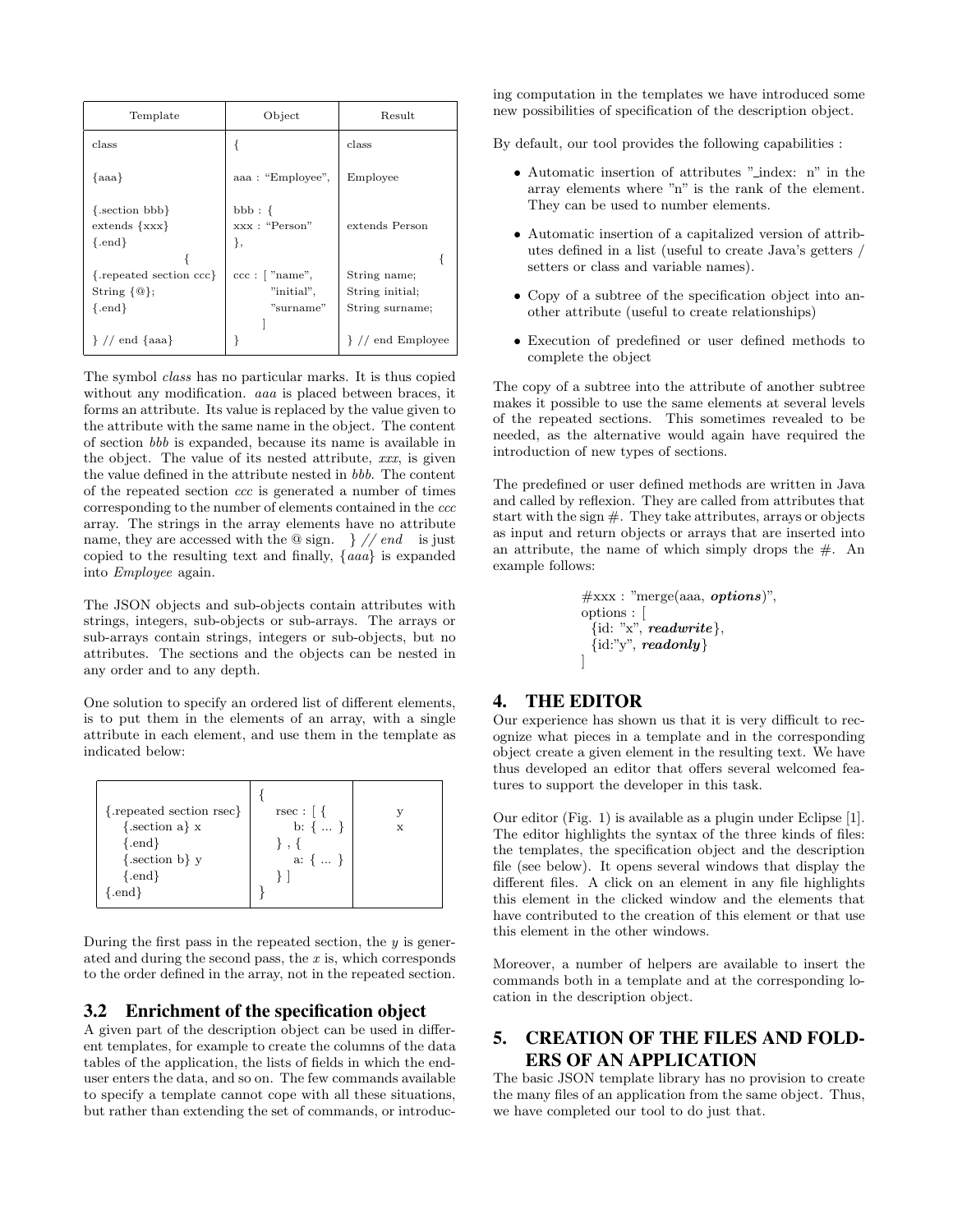| Template                                            | Object                               | Result                          |
|-----------------------------------------------------|--------------------------------------|---------------------------------|
| class                                               |                                      | class                           |
| ${aa}$                                              | aaa: "Employee",                     | Employee                        |
| {section bbb}<br>$extends {xxx}$<br>$\{ .end \}$    | bbb:<br>xxx: "Person"<br>},          | extends Person                  |
| {.repeated section ccc}<br>String $\{\mathbb{Q}\};$ | $\text{ccc}:$ ["name",<br>"initial". | String name;<br>String initial: |
| $\{ .end \}$                                        | "surname"                            | String surname;                 |
| // end $\{aaa\}$                                    |                                      | end Employee                    |

The symbol class has no particular marks. It is thus copied without any modification. aaa is placed between braces, it forms an attribute. Its value is replaced by the value given to the attribute with the same name in the object. The content of section bbb is expanded, because its name is available in the object. The value of its nested attribute, xxx, is given the value defined in the attribute nested in bbb. The content of the repeated section ccc is generated a number of times corresponding to the number of elements contained in the ccc array. The strings in the array elements have no attribute name, they are accessed with the @ sign.  $\frac{1}{2}$  // end is just copied to the resulting text and finally, {aaa} is expanded into Employee again.

The JSON objects and sub-objects contain attributes with strings, integers, sub-objects or sub-arrays. The arrays or sub-arrays contain strings, integers or sub-objects, but no attributes. The sections and the objects can be nested in any order and to any depth.

One solution to specify an ordered list of different elements, is to put them in the elements of an array, with a single attribute in each element, and use them in the template as indicated below:

| {.repeated section rsec}<br>$\{$ section a $\}$ x         | $rsec: \lceil \cdot \rceil$<br>b: $\{ \dots \}$ | X |
|-----------------------------------------------------------|-------------------------------------------------|---|
| $\{ .end \}$<br>$\{$ section b} $y$<br>${end}$<br>${end}$ | a: $\{ \dots \}$                                |   |

During the first pass in the repeated section, the  $y$  is generated and during the second pass, the  $x$  is, which corresponds to the order defined in the array, not in the repeated section.

## 3.2 Enrichment of the specification object

A given part of the description object can be used in different templates, for example to create the columns of the data tables of the application, the lists of fields in which the enduser enters the data, and so on. The few commands available to specify a template cannot cope with all these situations, but rather than extending the set of commands, or introducing computation in the templates we have introduced some new possibilities of specification of the description object.

By default, our tool provides the following capabilities :

- Automatic insertion of attributes "\_index: n" in the array elements where "n" is the rank of the element. They can be used to number elements.
- Automatic insertion of a capitalized version of attributes defined in a list (useful to create Java's getters / setters or class and variable names).
- Copy of a subtree of the specification object into another attribute (useful to create relationships)
- Execution of predefined or user defined methods to complete the object

The copy of a subtree into the attribute of another subtree makes it possible to use the same elements at several levels of the repeated sections. This sometimes revealed to be needed, as the alternative would again have required the introduction of new types of sections.

The predefined or user defined methods are written in Java and called by reflexion. They are called from attributes that start with the sign  $#$ . They take attributes, arrays or objects as input and return objects or arrays that are inserted into an attribute, the name of which simply drops the  $#$ . An example follows:

```
\#xxx: "merge(aaa, options)",
options : [
  \{\text{id: "x", readwrite}\},\\{id:"y", readonly\}]
```
## 4. THE EDITOR

Our experience has shown us that it is very difficult to recognize what pieces in a template and in the corresponding object create a given element in the resulting text. We have thus developed an editor that offers several welcomed features to support the developer in this task.

Our editor (Fig. 1) is available as a plugin under Eclipse [1]. The editor highlights the syntax of the three kinds of files: the templates, the specification object and the description file (see below). It opens several windows that display the different files. A click on an element in any file highlights this element in the clicked window and the elements that have contributed to the creation of this element or that use this element in the other windows.

Moreover, a number of helpers are available to insert the commands both in a template and at the corresponding location in the description object.

# 5. CREATION OF THE FILES AND FOLD-ERS OF AN APPLICATION

The basic JSON template library has no provision to create the many files of an application from the same object. Thus, we have completed our tool to do just that.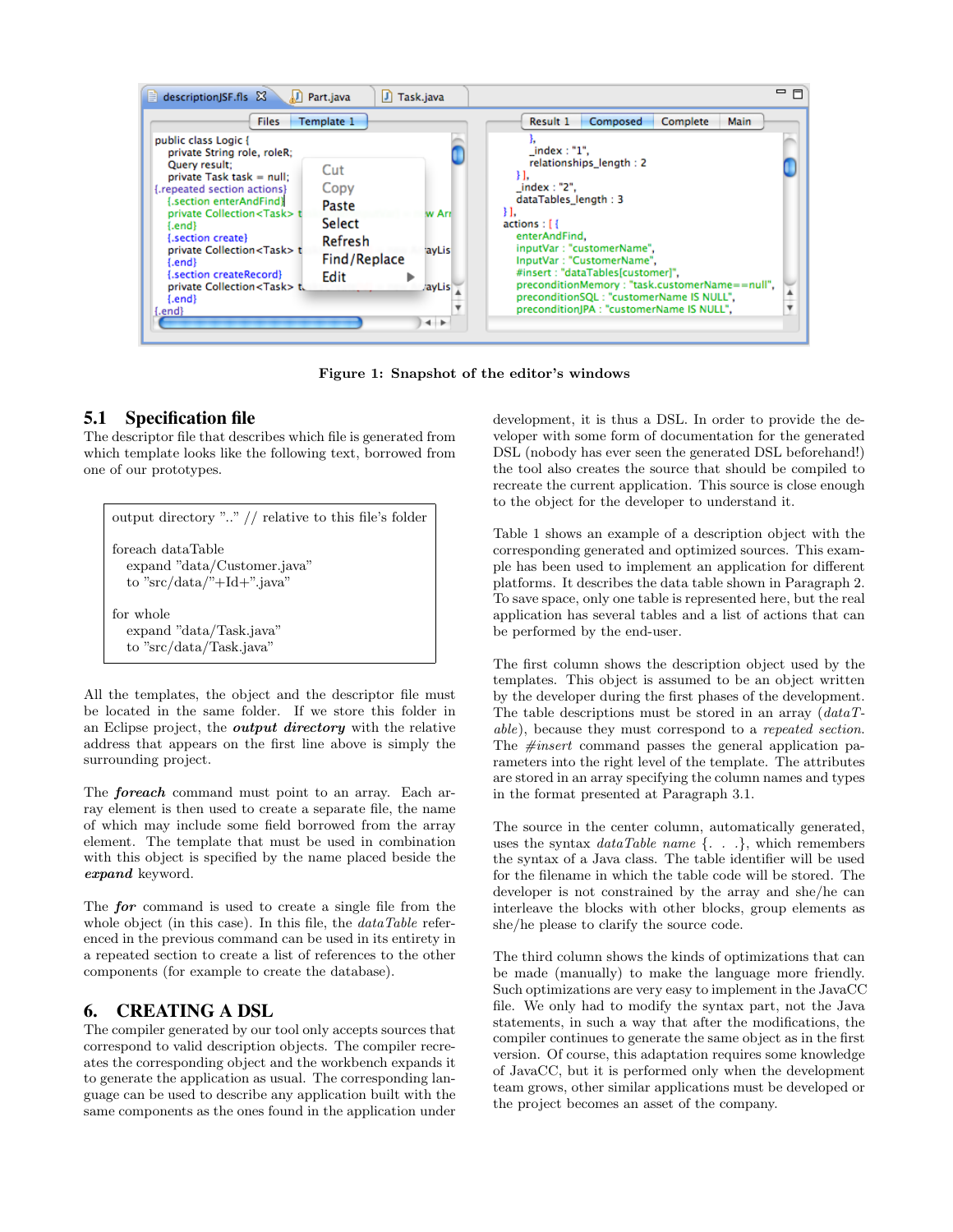| descriptionJSF.fls 23<br>٨n<br>$J$ Task.java<br>Part.java<br>自                                                                                                                                                                                                                                                                                                                                                                                                                                                                            | ー 日                                                                                                                                                                                                                                                                                                                                                                                                                      |
|-------------------------------------------------------------------------------------------------------------------------------------------------------------------------------------------------------------------------------------------------------------------------------------------------------------------------------------------------------------------------------------------------------------------------------------------------------------------------------------------------------------------------------------------|--------------------------------------------------------------------------------------------------------------------------------------------------------------------------------------------------------------------------------------------------------------------------------------------------------------------------------------------------------------------------------------------------------------------------|
| Template 1<br><b>Files</b><br>public class Logic {<br>private String role, roleR;<br>Query result;<br>Cut<br>private Task task = null;<br>Copy<br>{.repeated section actions}<br>[.section enterAndFind]<br>Paste<br>private Collection <task>t<br/>w Arr<br/>Select<br/>[.end<br/>[.section create]<br/>Refresh<br/>private Collection<task>t<br/>ayLis<br/>Find/Replace<br/>[.end}<br/>[.section createRecord]<br/>Edit<br/>ь<br/>avLis<br/>private Collection<task> t.<br/>{.end}<br/><math>{.end}</math><br/>⊣⊨⊳</task></task></task> | Composed<br>Result 1<br>Complete<br><b>Main</b><br>_index : "1",<br>relationships length: 2<br>Н,<br>index : "2".<br>dataTables length: 3<br>Н.<br>actions: [<br>enterAndFind,<br>inputVar: "customerName",<br>InputVar: "CustomerName",<br>#insert : "dataTables[customer]".<br>preconditionMemory: "task.customerName==null".<br>preconditionSQL: "customerName IS NULL",<br>preconditionJPA : "customerName IS NULL", |

Figure 1: Snapshot of the editor's windows

## 5.1 Specification file

The descriptor file that describes which file is generated from which template looks like the following text, borrowed from one of our prototypes.

```
output directory ".." // relative to this file's folder
foreach dataTable
  expand "data/Customer.java"
  to "src/data/"+Id+".java"
for whole
  expand "data/Task.java"
  to "src/data/Task.java"
```
All the templates, the object and the descriptor file must be located in the same folder. If we store this folder in an Eclipse project, the output directory with the relative address that appears on the first line above is simply the surrounding project.

The **foreach** command must point to an array. Each array element is then used to create a separate file, the name of which may include some field borrowed from the array element. The template that must be used in combination with this object is specified by the name placed beside the expand keyword.

The **for** command is used to create a single file from the whole object (in this case). In this file, the  $dataTable$  referenced in the previous command can be used in its entirety in a repeated section to create a list of references to the other components (for example to create the database).

## 6. CREATING A DSL

The compiler generated by our tool only accepts sources that correspond to valid description objects. The compiler recreates the corresponding object and the workbench expands it to generate the application as usual. The corresponding language can be used to describe any application built with the same components as the ones found in the application under

development, it is thus a DSL. In order to provide the developer with some form of documentation for the generated DSL (nobody has ever seen the generated DSL beforehand!) the tool also creates the source that should be compiled to recreate the current application. This source is close enough to the object for the developer to understand it.

Table 1 shows an example of a description object with the corresponding generated and optimized sources. This example has been used to implement an application for different platforms. It describes the data table shown in Paragraph 2. To save space, only one table is represented here, but the real application has several tables and a list of actions that can be performed by the end-user.

The first column shows the description object used by the templates. This object is assumed to be an object written by the developer during the first phases of the development. The table descriptions must be stored in an array (dataTable), because they must correspond to a repeated section. The  $#insert$  command passes the general application parameters into the right level of the template. The attributes are stored in an array specifying the column names and types in the format presented at Paragraph 3.1.

The source in the center column, automatically generated, uses the syntax  $dataTable \ name \ \{ \dots \},$  which remembers the syntax of a Java class. The table identifier will be used for the filename in which the table code will be stored. The developer is not constrained by the array and she/he can interleave the blocks with other blocks, group elements as she/he please to clarify the source code.

The third column shows the kinds of optimizations that can be made (manually) to make the language more friendly. Such optimizations are very easy to implement in the JavaCC file. We only had to modify the syntax part, not the Java statements, in such a way that after the modifications, the compiler continues to generate the same object as in the first version. Of course, this adaptation requires some knowledge of JavaCC, but it is performed only when the development team grows, other similar applications must be developed or the project becomes an asset of the company.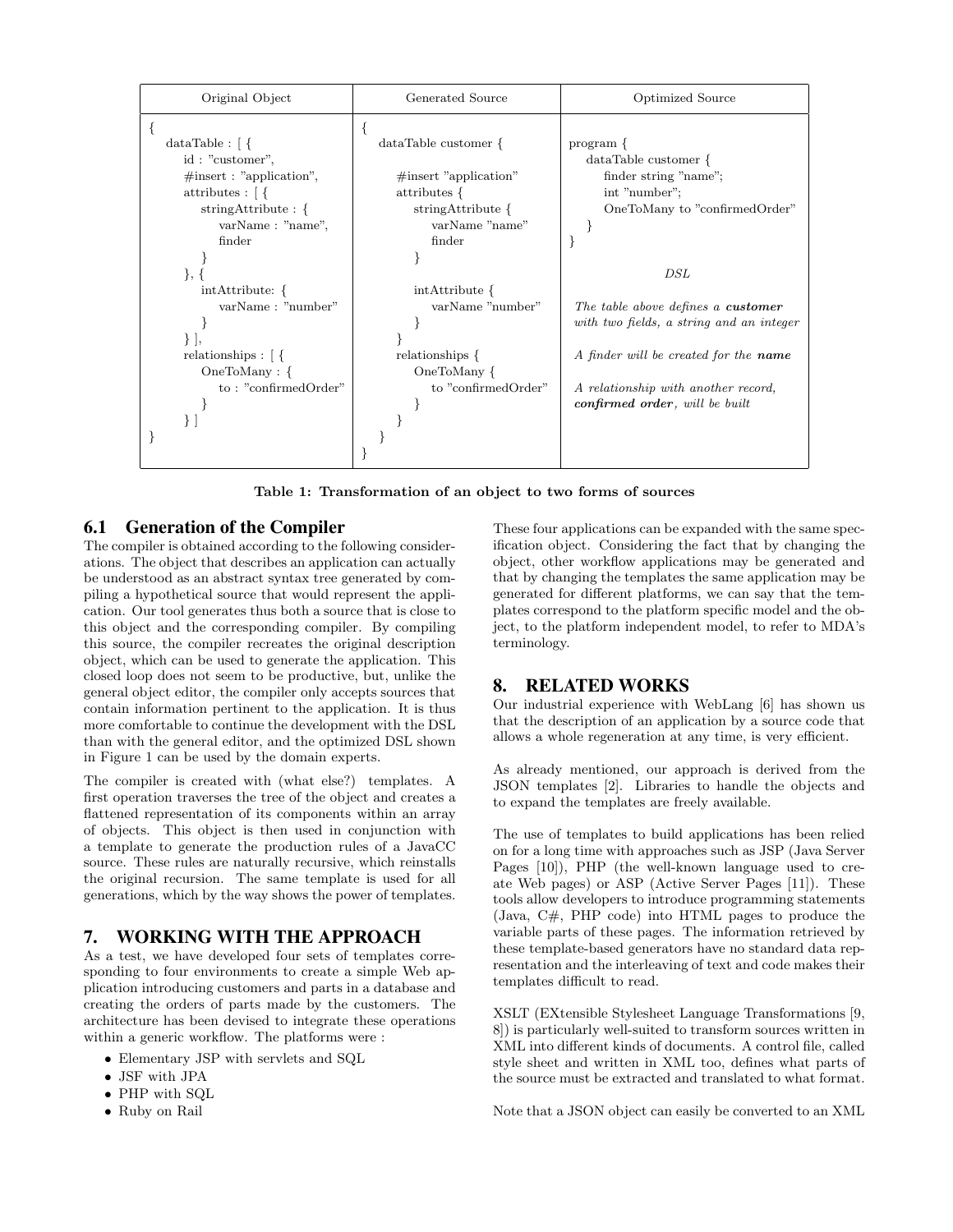

Table 1: Transformation of an object to two forms of sources

#### 6.1 Generation of the Compiler

The compiler is obtained according to the following considerations. The object that describes an application can actually be understood as an abstract syntax tree generated by compiling a hypothetical source that would represent the application. Our tool generates thus both a source that is close to this object and the corresponding compiler. By compiling this source, the compiler recreates the original description object, which can be used to generate the application. This closed loop does not seem to be productive, but, unlike the general object editor, the compiler only accepts sources that contain information pertinent to the application. It is thus more comfortable to continue the development with the DSL than with the general editor, and the optimized DSL shown in Figure 1 can be used by the domain experts.

The compiler is created with (what else?) templates. A first operation traverses the tree of the object and creates a flattened representation of its components within an array of objects. This object is then used in conjunction with a template to generate the production rules of a JavaCC source. These rules are naturally recursive, which reinstalls the original recursion. The same template is used for all generations, which by the way shows the power of templates.

## 7. WORKING WITH THE APPROACH

As a test, we have developed four sets of templates corresponding to four environments to create a simple Web application introducing customers and parts in a database and creating the orders of parts made by the customers. The architecture has been devised to integrate these operations within a generic workflow. The platforms were :

- Elementary JSP with servlets and SQL
- JSF with JPA
- PHP with SQL
- Ruby on Rail

These four applications can be expanded with the same specification object. Considering the fact that by changing the object, other workflow applications may be generated and that by changing the templates the same application may be generated for different platforms, we can say that the templates correspond to the platform specific model and the object, to the platform independent model, to refer to MDA's terminology.

## 8. RELATED WORKS

Our industrial experience with WebLang [6] has shown us that the description of an application by a source code that allows a whole regeneration at any time, is very efficient.

As already mentioned, our approach is derived from the JSON templates [2]. Libraries to handle the objects and to expand the templates are freely available.

The use of templates to build applications has been relied on for a long time with approaches such as JSP (Java Server Pages [10]), PHP (the well-known language used to create Web pages) or ASP (Active Server Pages [11]). These tools allow developers to introduce programming statements (Java, C#, PHP code) into HTML pages to produce the variable parts of these pages. The information retrieved by these template-based generators have no standard data representation and the interleaving of text and code makes their templates difficult to read.

XSLT (EXtensible Stylesheet Language Transformations [9, 8]) is particularly well-suited to transform sources written in XML into different kinds of documents. A control file, called style sheet and written in XML too, defines what parts of the source must be extracted and translated to what format.

Note that a JSON object can easily be converted to an XML